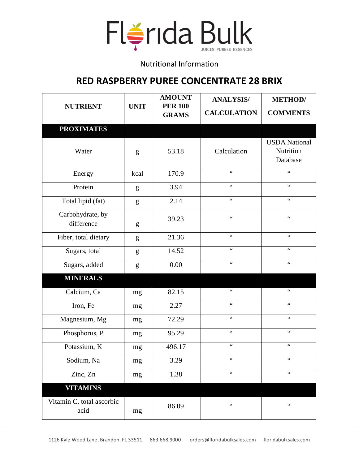

## Nutritional Information

## **RED RASPBERRY PUREE CONCENTRATE 28 BRIX**

| <b>NUTRIENT</b>                   | <b>UNIT</b> | <b>AMOUNT</b><br><b>PER 100</b><br><b>GRAMS</b> | <b>ANALYSIS/</b><br><b>CALCULATION</b> | <b>METHOD</b> /<br><b>COMMENTS</b>            |
|-----------------------------------|-------------|-------------------------------------------------|----------------------------------------|-----------------------------------------------|
| <b>PROXIMATES</b>                 |             |                                                 |                                        |                                               |
| Water                             | g           | 53.18                                           | Calculation                            | <b>USDA</b> National<br>Nutrition<br>Database |
| Energy                            | kcal        | 170.9                                           | $\zeta$ $\zeta$                        | $\zeta$ $\zeta$                               |
| Protein                           | g           | 3.94                                            | $\epsilon$                             | $\zeta \zeta$                                 |
| Total lipid (fat)                 | g           | 2.14                                            | $\zeta\,\zeta$                         | $\zeta\,\zeta$                                |
| Carbohydrate, by<br>difference    | g           | 39.23                                           | $\zeta\,\zeta$                         | $\zeta$ $\zeta$                               |
| Fiber, total dietary              | g           | 21.36                                           | $\zeta$ $\zeta$                        | $\zeta$ $\zeta$                               |
| Sugars, total                     | g           | 14.52                                           | $\zeta$ $\zeta$                        | $\zeta$ $\zeta$                               |
| Sugars, added                     | g           | 0.00                                            | $\zeta$ $\zeta$                        | $\zeta$ $\zeta$                               |
| <b>MINERALS</b>                   |             |                                                 |                                        |                                               |
| Calcium, Ca                       | mg          | 82.15                                           | $\zeta$ $\zeta$                        | $\zeta$ $\zeta$                               |
| Iron, Fe                          | mg          | 2.27                                            | $\zeta$ $\zeta$                        | $\zeta$ $\zeta$                               |
| Magnesium, Mg                     | mg          | 72.29                                           | $\zeta$ $\zeta$                        | $\zeta$ $\zeta$                               |
| Phosphorus, P                     | mg          | 95.29                                           | $\zeta$ $\zeta$                        | $\zeta$ $\zeta$                               |
| Potassium, K                      | mg          | 496.17                                          | $\zeta$ $\zeta$                        | $\zeta$ $\zeta$                               |
| Sodium, Na                        | mg          | 3.29                                            | $\zeta$ $\zeta$                        | $\zeta$ $\zeta$                               |
| Zinc, Zn                          | mg          | 1.38                                            | $\zeta$ $\zeta$                        | $\zeta$ $\zeta$                               |
| <b>VITAMINS</b>                   |             |                                                 |                                        |                                               |
| Vitamin C, total ascorbic<br>acid | mg          | 86.09                                           | $\,$ $\,$ $\,$ $\,$ $\,$ $\,$          | $\mbox{G}\,\mbox{G}$                          |